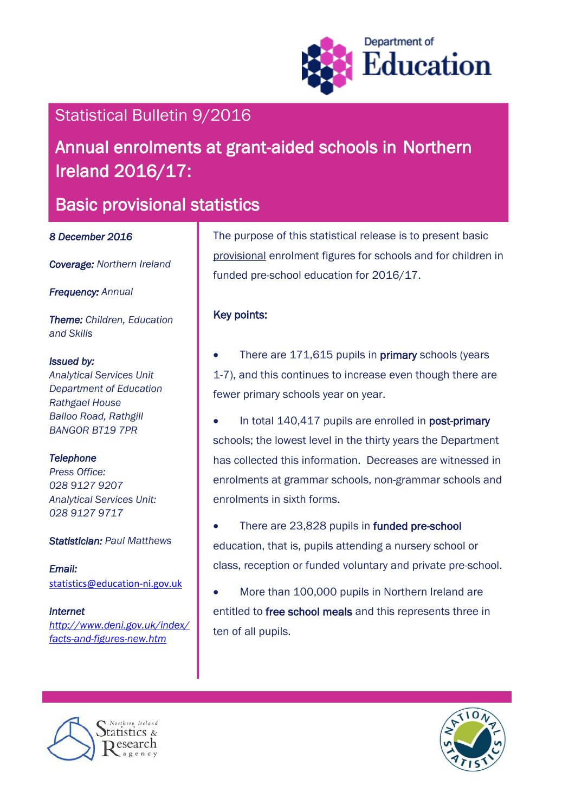

## Statistical Bulletin 9/2016

# Annual enrolments at grant-aided schools in Northern Ireland 2016/17:

## Basic provisional statistics

#### *8 December 2016*

*Coverage: Northern Ireland* 

*Frequency: Annual*

*Theme: Children, Education and Skills*

#### *Issued by:*

*Analytical Services Unit Department of Education Rathgael House Balloo Road, Rathgill BANGOR BT19 7PR*

## *Telephone*

*Press Office: 028 9127 9207 Analytical Services Unit: 028 9127 9717*

#### *Statistician: Paul Matthews*

*Email:*  [statistics@education-ni.gov.uk](mailto:statistics@education-ni.gov.uk)

*Internet [http://www.deni.gov.uk/index/](http://www.deni.gov.uk/index/facts-and-figures-new.htm) [facts-and-figures-new.htm](http://www.deni.gov.uk/index/facts-and-figures-new.htm)*

The purpose of this statistical release is to present basic provisional enrolment figures for schools and for children in funded pre-school education for 2016/17.

## Key points:

- There are 171,615 pupils in **primary** schools (years 1-7), and this continues to increase even though there are fewer primary schools year on year.
- In total 140,417 pupils are enrolled in post-primary schools; the lowest level in the thirty years the Department has collected this information. Decreases are witnessed in enrolments at grammar schools, non-grammar schools and enrolments in sixth forms.
- There are 23,828 pupils in funded pre-school education, that is, pupils attending a nursery school or class, reception or funded voluntary and private pre-school.
- More than 100,000 pupils in Northern Ireland are entitled to free school meals and this represents three in ten of all pupils.



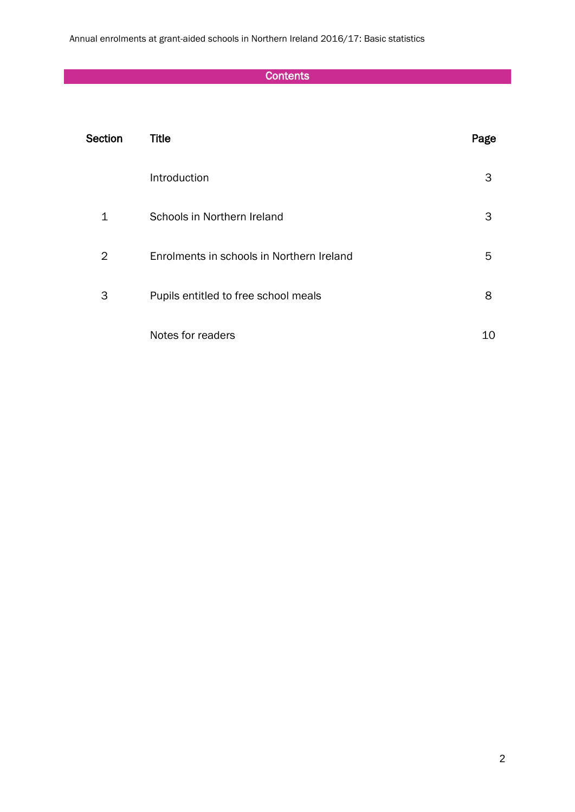Annual enrolments at grant-aided schools in Northern Ireland 2016/17: Basic statistics

## **Contents**

| Section | <b>Title</b>                              | Page |
|---------|-------------------------------------------|------|
|         | Introduction                              | 3    |
| 1       | Schools in Northern Ireland               | 3    |
| 2       | Enrolments in schools in Northern Ireland | 5    |
| 3       | Pupils entitled to free school meals      | 8    |
|         | Notes for readers                         | 10   |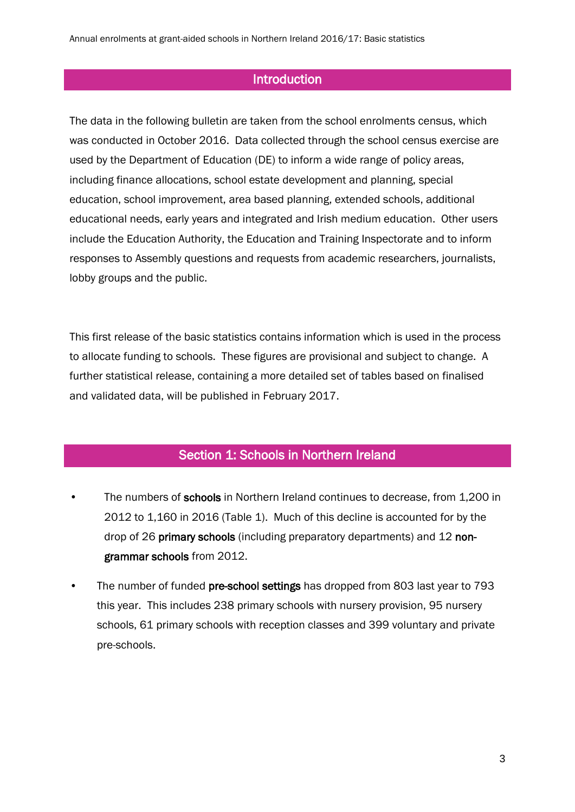## **Introduction**

The data in the following bulletin are taken from the school enrolments census, which was conducted in October 2016. Data collected through the school census exercise are used by the Department of Education (DE) to inform a wide range of policy areas, including finance allocations, school estate development and planning, special education, school improvement, area based planning, extended schools, additional educational needs, early years and integrated and Irish medium education. Other users include the Education Authority, the Education and Training Inspectorate and to inform responses to Assembly questions and requests from academic researchers, journalists, lobby groups and the public.

This first release of the basic statistics contains information which is used in the process to allocate funding to schools. These figures are provisional and subject to change. A further statistical release, containing a more detailed set of tables based on finalised and validated data, will be published in February 2017.

#### Section 1: Schools in Northern Ireland

- The numbers of schools in Northern Ireland continues to decrease, from 1,200 in 2012 to 1,160 in 2016 (Table 1). Much of this decline is accounted for by the drop of 26 primary schools (including preparatory departments) and 12 nongrammar schools from 2012.
- The number of funded pre-school settings has dropped from 803 last year to 793 this year. This includes 238 primary schools with nursery provision, 95 nursery schools, 61 primary schools with reception classes and 399 voluntary and private pre-schools.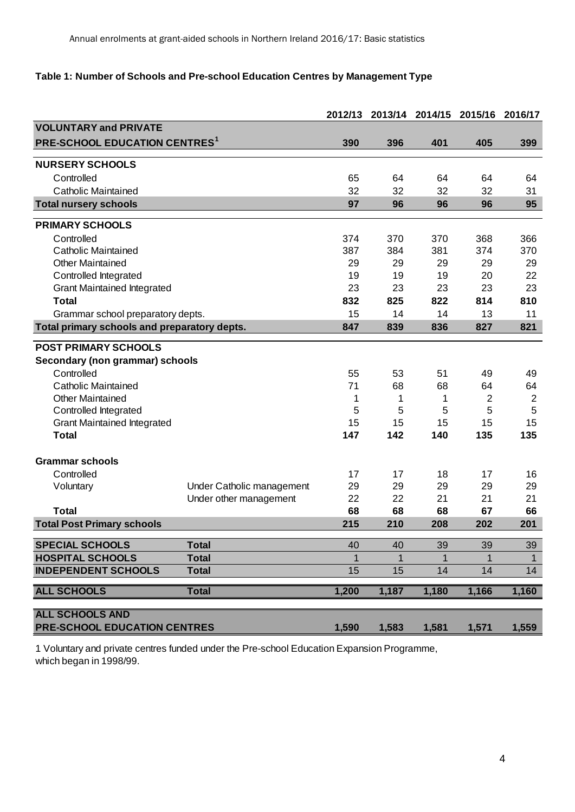## **Table 1: Number of Schools and Pre-school Education Centres by Management Type**

|                                              |                           | 2012/13 |              | 2013/14 2014/15 | 2015/16        | 2016/17      |
|----------------------------------------------|---------------------------|---------|--------------|-----------------|----------------|--------------|
| <b>VOLUNTARY and PRIVATE</b>                 |                           |         |              |                 |                |              |
| <b>PRE-SCHOOL EDUCATION CENTRES1</b>         |                           | 390     | 396          | 401             | 405            | 399          |
| <b>NURSERY SCHOOLS</b>                       |                           |         |              |                 |                |              |
| Controlled                                   |                           | 65      | 64           | 64              | 64             | 64           |
| <b>Catholic Maintained</b>                   |                           | 32      | 32           | 32              | 32             | 31           |
| <b>Total nursery schools</b>                 |                           | 97      | 96           | 96              | 96             | 95           |
|                                              |                           |         |              |                 |                |              |
| <b>PRIMARY SCHOOLS</b>                       |                           |         |              |                 |                |              |
| Controlled                                   |                           | 374     | 370          | 370             | 368            | 366          |
| <b>Catholic Maintained</b>                   |                           | 387     | 384          | 381             | 374            | 370          |
| <b>Other Maintained</b>                      |                           | 29      | 29           | 29              | 29             | 29           |
| Controlled Integrated                        |                           | 19      | 19           | 19              | 20             | 22           |
| <b>Grant Maintained Integrated</b>           |                           | 23      | 23           | 23              | 23             | 23           |
| <b>Total</b>                                 |                           | 832     | 825          | 822             | 814            | 810          |
| Grammar school preparatory depts.            |                           | 15      | 14           | 14              | 13             | 11           |
| Total primary schools and preparatory depts. |                           | 847     | 839          | 836             | 827            | 821          |
|                                              |                           |         |              |                 |                |              |
| <b>POST PRIMARY SCHOOLS</b>                  |                           |         |              |                 |                |              |
| Secondary (non grammar) schools              |                           |         |              |                 |                |              |
| Controlled                                   |                           | 55      | 53           | 51              | 49             | 49           |
| <b>Catholic Maintained</b>                   |                           | 71      | 68           | 68              | 64             | 64           |
| <b>Other Maintained</b>                      |                           | 1       | 1            | 1               | $\overline{2}$ | 2            |
| Controlled Integrated                        |                           | 5       | 5            | 5               | 5              | 5            |
| <b>Grant Maintained Integrated</b>           |                           | 15      | 15           | 15              | 15             | 15           |
| <b>Total</b>                                 |                           | 147     | 142          | 140             | 135            | 135          |
| <b>Grammar schools</b>                       |                           |         |              |                 |                |              |
| Controlled                                   |                           | 17      | 17           | 18              | 17             | 16           |
| Voluntary                                    | Under Catholic management | 29      | 29           | 29              | 29             | 29           |
|                                              | Under other management    | 22      | 22           | 21              | 21             | 21           |
| <b>Total</b>                                 |                           | 68      | 68           | 68              | 67             | 66           |
| <b>Total Post Primary schools</b>            |                           | 215     | 210          | 208             | 202            | 201          |
| <b>SPECIAL SCHOOLS</b>                       | <b>Total</b>              | 40      | 40           | 39              | 39             | 39           |
| <b>HOSPITAL SCHOOLS</b>                      | <b>Total</b>              | 1       | $\mathbf{1}$ |                 |                | $\mathbf{1}$ |
| <b>INDEPENDENT SCHOOLS</b>                   | <b>Total</b>              | 15      | 15           | 14              | 14             | 14           |
|                                              |                           |         |              |                 |                |              |
| <b>ALL SCHOOLS</b>                           | <b>Total</b>              | 1,200   | 1,187        | 1,180           | 1,166          | 1,160        |
| <b>ALL SCHOOLS AND</b>                       |                           |         |              |                 |                |              |
| PRE-SCHOOL EDUCATION CENTRES                 |                           | 1,590   | 1,583        | 1,581           | 1,571          | 1,559        |

1 Voluntary and private centres funded under the Pre-school Education Expansion Programme, which began in 1998/99.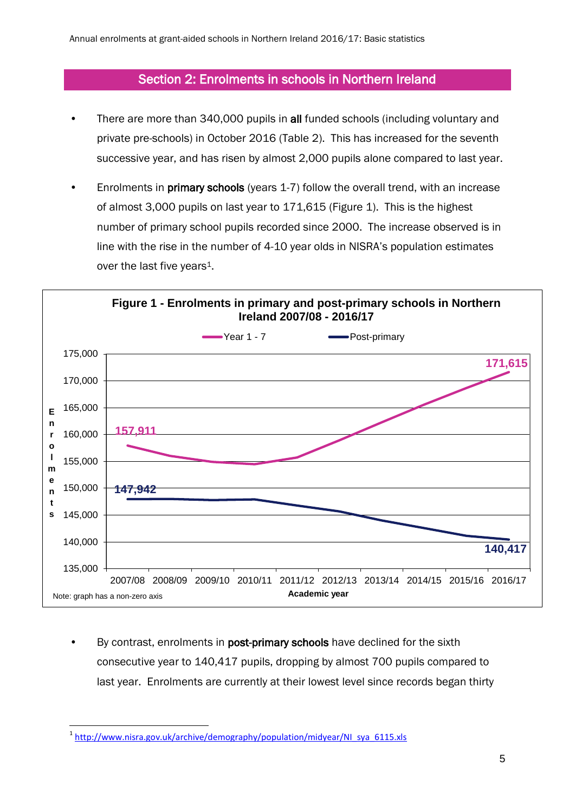## Section 2: Enrolments in schools in Northern Ireland

- There are more than 340,000 pupils in all funded schools (including voluntary and private pre-schools) in October 2016 (Table 2). This has increased for the seventh successive year, and has risen by almost 2,000 pupils alone compared to last year.
- Enrolments in primary schools (years 1-7) follow the overall trend, with an increase of almost 3,000 pupils on last year to 171,615 (Figure 1). This is the highest number of primary school pupils recorded since 2000. The increase observed is in line with the rise in the number of 4-10 year olds in NISRA's population estimates over the last five years<sup>1</sup>.



By contrast, enrolments in post-primary schools have declined for the sixth consecutive year to 140,417 pupils, dropping by almost 700 pupils compared to last year. Enrolments are currently at their lowest level since records began thirty

**<sup>.</sup>** <sup>1</sup> [http://www.nisra.gov.uk/archive/demography/population/midyear/NI\\_sya\\_6115.xls](http://www.nisra.gov.uk/archive/demography/population/midyear/NI_sya_6115.xls)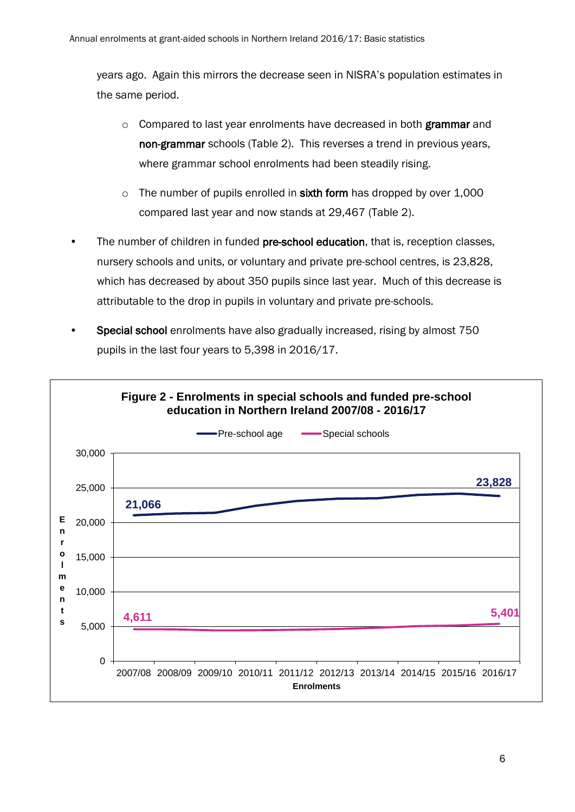years ago. Again this mirrors the decrease seen in NISRA's population estimates in the same period.

- $\circ$  Compared to last year enrolments have decreased in both grammar and non-grammar schools (Table 2). This reverses a trend in previous years, where grammar school enrolments had been steadily rising.
- $\circ$  The number of pupils enrolled in sixth form has dropped by over 1,000 compared last year and now stands at 29,467 (Table 2).
- The number of children in funded pre-school education, that is, reception classes, nursery schools and units, or voluntary and private pre-school centres, is 23,828, which has decreased by about 350 pupils since last year. Much of this decrease is attributable to the drop in pupils in voluntary and private pre-schools.
- Special school enrolments have also gradually increased, rising by almost 750 pupils in the last four years to 5,398 in 2016/17.

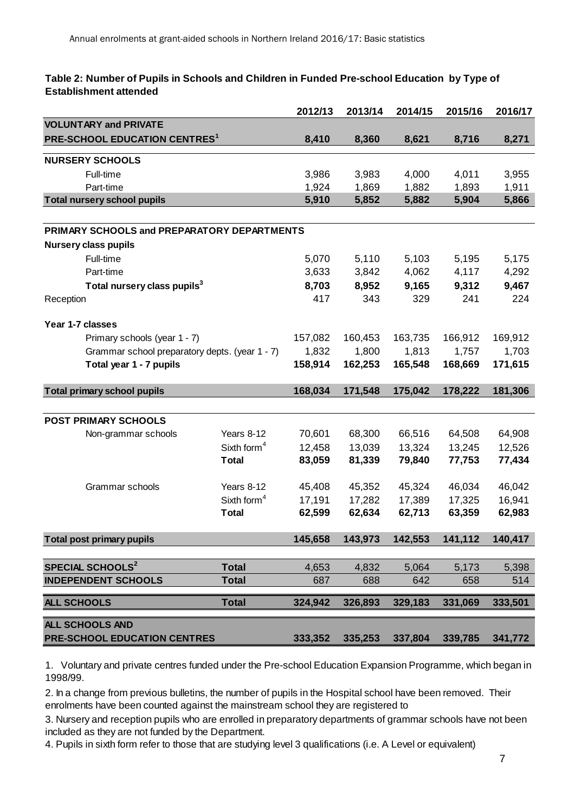#### **Table 2: Number of Pupils in Schools and Children in Funded Pre-school Education by Type of Establishment attended**

|                                                |                         | 2012/13 | 2013/14 | 2014/15 | 2015/16 | 2016/17 |
|------------------------------------------------|-------------------------|---------|---------|---------|---------|---------|
| <b>VOLUNTARY and PRIVATE</b>                   |                         |         |         |         |         |         |
| <b>PRE-SCHOOL EDUCATION CENTRES1</b>           |                         | 8,410   | 8,360   | 8,621   | 8,716   | 8,271   |
| <b>NURSERY SCHOOLS</b>                         |                         |         |         |         |         |         |
| Full-time                                      |                         | 3,986   | 3,983   | 4,000   | 4,011   | 3,955   |
| Part-time                                      |                         | 1,924   | 1,869   | 1,882   | 1,893   | 1,911   |
| <b>Total nursery school pupils</b>             |                         | 5,910   | 5,852   | 5,882   | 5,904   | 5,866   |
|                                                |                         |         |         |         |         |         |
| PRIMARY SCHOOLS and PREPARATORY DEPARTMENTS    |                         |         |         |         |         |         |
| <b>Nursery class pupils</b>                    |                         |         |         |         |         |         |
| Full-time                                      |                         | 5,070   | 5,110   | 5,103   | 5,195   | 5,175   |
| Part-time                                      |                         | 3,633   | 3,842   | 4,062   | 4,117   | 4,292   |
| Total nursery class pupils <sup>3</sup>        |                         | 8,703   | 8,952   | 9,165   | 9,312   | 9,467   |
| Reception                                      |                         | 417     | 343     | 329     | 241     | 224     |
| Year 1-7 classes                               |                         |         |         |         |         |         |
| Primary schools (year 1 - 7)                   |                         | 157,082 | 160,453 | 163,735 | 166,912 | 169,912 |
| Grammar school preparatory depts. (year 1 - 7) |                         | 1,832   | 1,800   | 1,813   | 1,757   | 1,703   |
| Total year 1 - 7 pupils                        |                         | 158,914 | 162,253 | 165,548 | 168,669 | 171,615 |
|                                                |                         |         |         |         |         |         |
| <b>Total primary school pupils</b>             |                         | 168,034 | 171,548 | 175,042 | 178,222 | 181,306 |
|                                                |                         |         |         |         |         |         |
| <b>POST PRIMARY SCHOOLS</b>                    |                         |         |         |         |         |         |
| Non-grammar schools                            | Years 8-12              | 70,601  | 68,300  | 66,516  | 64,508  | 64,908  |
|                                                | Sixth form <sup>4</sup> | 12,458  | 13,039  | 13,324  | 13,245  | 12,526  |
|                                                | <b>Total</b>            | 83,059  | 81,339  | 79,840  | 77,753  | 77,434  |
| Grammar schools                                | Years 8-12              | 45,408  | 45,352  | 45,324  | 46,034  | 46,042  |
|                                                | Sixth form <sup>4</sup> | 17,191  | 17,282  | 17,389  | 17,325  | 16,941  |
|                                                | <b>Total</b>            | 62,599  | 62,634  | 62,713  | 63,359  | 62,983  |
|                                                |                         |         |         |         |         |         |
| <b>Total post primary pupils</b>               |                         | 145,658 | 143,973 | 142,553 | 141,112 | 140,417 |
| <b>SPECIAL SCHOOLS<sup>2</sup></b>             | <b>Total</b>            | 4,653   | 4,832   | 5,064   | 5,173   | 5,398   |
| <b>INDEPENDENT SCHOOLS</b>                     | <b>Total</b>            | 687     | 688     | 642     | 658     | 514     |
|                                                |                         |         |         |         |         |         |
| <b>ALL SCHOOLS</b>                             | <b>Total</b>            | 324,942 | 326,893 | 329,183 | 331,069 | 333,501 |
| ALL SCHOOLS AND                                |                         |         |         |         |         |         |
| <b>PRE-SCHOOL EDUCATION CENTRES</b>            | 333,352                 | 335,253 | 337,804 | 339,785 | 341,772 |         |

1. Voluntary and private centres funded under the Pre-school Education Expansion Programme, which began in 1998/99.

2. In a change from previous bulletins, the number of pupils in the Hospital school have been removed. Their enrolments have been counted against the mainstream school they are registered to

3. Nursery and reception pupils who are enrolled in preparatory departments of grammar schools have not been included as they are not funded by the Department.

4. Pupils in sixth form refer to those that are studying level 3 qualifications (i.e. A Level or equivalent)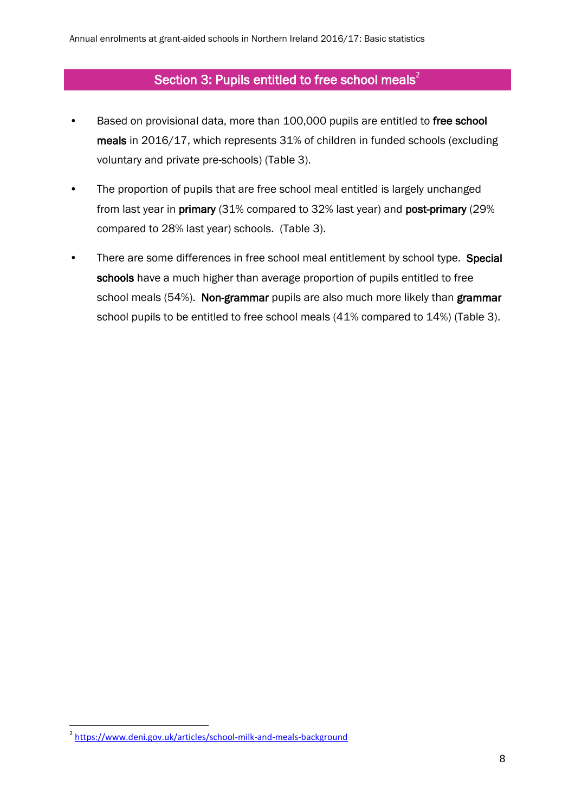## Section 3: Pupils entitled to free school meals<sup>2</sup>

- Based on provisional data, more than 100,000 pupils are entitled to free school meals in 2016/17, which represents 31% of children in funded schools (excluding voluntary and private pre-schools) (Table 3).
- The proportion of pupils that are free school meal entitled is largely unchanged from last year in primary (31% compared to 32% last year) and post-primary (29% compared to 28% last year) schools. (Table 3).
- There are some differences in free school meal entitlement by school type. Special schools have a much higher than average proportion of pupils entitled to free school meals (54%). Non-grammar pupils are also much more likely than grammar school pupils to be entitled to free school meals (41% compared to 14%) (Table 3).

\_<br>2 <https://www.deni.gov.uk/articles/school-milk-and-meals-background>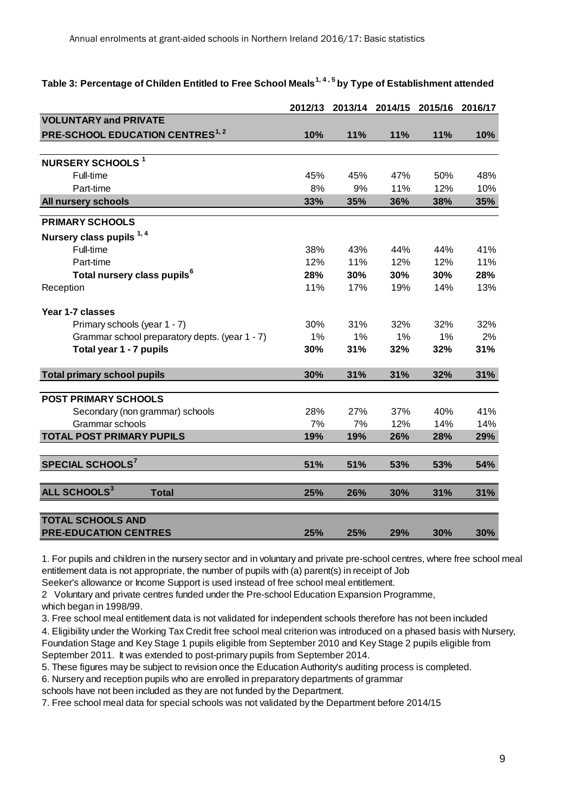## **Table 3: Percentage of Childen Entitled to Free School Meals1, 4 , 5 by Type of Establishment attended**

|                                                | 2012/13 | 2013/14 | 2014/15 | 2015/16 | 2016/17 |
|------------------------------------------------|---------|---------|---------|---------|---------|
| <b>VOLUNTARY and PRIVATE</b>                   |         |         |         |         |         |
| <b>PRE-SCHOOL EDUCATION CENTRES1,2</b>         | 10%     | 11%     | 11%     | 11%     | 10%     |
|                                                |         |         |         |         |         |
| <b>NURSERY SCHOOLS<sup>1</sup></b>             |         |         |         |         |         |
| Full-time                                      | 45%     | 45%     | 47%     | 50%     | 48%     |
| Part-time                                      | 8%      | 9%      | 11%     | 12%     | 10%     |
| All nursery schools                            | 33%     | 35%     | 36%     | 38%     | 35%     |
| <b>PRIMARY SCHOOLS</b>                         |         |         |         |         |         |
| Nursery class pupils 1, 4                      |         |         |         |         |         |
| Full-time                                      | 38%     | 43%     | 44%     | 44%     | 41%     |
| Part-time                                      | 12%     | 11%     | 12%     | 12%     | 11%     |
| Total nursery class pupils <sup>6</sup>        | 28%     | 30%     | 30%     | 30%     | 28%     |
| Reception                                      | 11%     | 17%     | 19%     | 14%     | 13%     |
| Year 1-7 classes                               |         |         |         |         |         |
| Primary schools (year 1 - 7)                   | 30%     | 31%     | 32%     | 32%     | 32%     |
| Grammar school preparatory depts. (year 1 - 7) | 1%      | 1%      | 1%      | 1%      | 2%      |
| Total year 1 - 7 pupils                        | 30%     | 31%     | 32%     | 32%     | 31%     |
| <b>Total primary school pupils</b>             | 30%     | 31%     | 31%     | 32%     | 31%     |
|                                                |         |         |         |         |         |
| <b>POST PRIMARY SCHOOLS</b>                    |         |         |         |         |         |
| Secondary (non grammar) schools                | 28%     | 27%     | 37%     | 40%     | 41%     |
| Grammar schools                                | 7%      | 7%      | 12%     | 14%     | 14%     |
| <b>TOTAL POST PRIMARY PUPILS</b>               | 19%     | 19%     | 26%     | 28%     | 29%     |
| SPECIAL SCHOOLS <sup>7</sup>                   | 51%     | 51%     | 53%     | 53%     | 54%     |
| ALL SCHOOLS <sup>3</sup><br><b>Total</b>       | 25%     | 26%     | 30%     | 31%     | 31%     |
| <b>TOTAL SCHOOLS AND</b>                       |         |         |         |         |         |
| <b>PRE-EDUCATION CENTRES</b>                   | 25%     | 25%     | 29%     | 30%     | 30%     |

1. For pupils and children in the nursery sector and in voluntary and private pre-school centres, where free school meal entitlement data is not appropriate, the number of pupils with (a) parent(s) in receipt of Job

Seeker's allowance or Income Support is used instead of free school meal entitlement.

2 Voluntary and private centres funded under the Pre-school Education Expansion Programme,

which began in 1998/99.

3. Free school meal entitlement data is not validated for independent schools therefore has not been included

4. Eligibility under the Working Tax Credit free school meal criterion was introduced on a phased basis with Nursery, Foundation Stage and Key Stage 1 pupils eligible from September 2010 and Key Stage 2 pupils eligible from September 2011. It was extended to post-primary pupils from September 2014.

5. These figures may be subject to revision once the Education Authority's auditing process is completed.

6. Nursery and reception pupils who are enrolled in preparatory departments of grammar

schools have not been included as they are not funded by the Department.

7. Free school meal data for special schools was not validated by the Department before 2014/15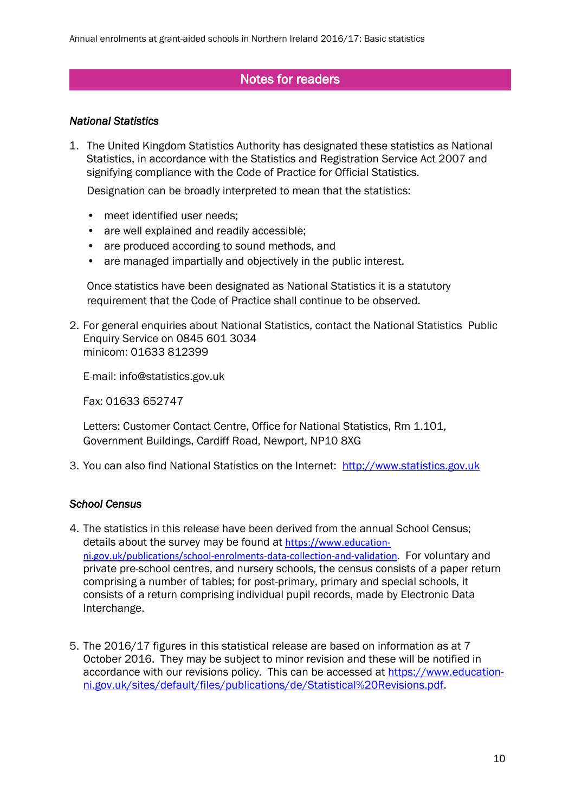## Notes for readers

#### *National Statistics*

1. The United Kingdom Statistics Authority has designated these statistics as National Statistics, in accordance with the Statistics and Registration Service Act 2007 and signifying compliance with the Code of Practice for Official Statistics.

Designation can be broadly interpreted to mean that the statistics:

- meet identified user needs;
- are well explained and readily accessible:
- are produced according to sound methods, and
- are managed impartially and objectively in the public interest.

Once statistics have been designated as National Statistics it is a statutory requirement that the Code of Practice shall continue to be observed.

2. For general enquiries about National Statistics, contact the National Statistics Public Enquiry Service on 0845 601 3034 minicom: 01633 812399

E-mail: info@statistics.gov.uk

Fax: 01633 652747

Letters: Customer Contact Centre, Office for National Statistics, Rm 1.101, Government Buildings, Cardiff Road, Newport, NP10 8XG

3. You can also find National Statistics on the Internet: [http://www.statistics.gov.uk](http://www.statistics.gov.uk/)

#### *School Census*

- 4. The statistics in this release have been derived from the annual School Census; details about the survey may be found at [https://www.education](https://www.education-ni.gov.uk/publications/school-enrolments-data-collection-and-validation)[ni.gov.uk/publications/school-enrolments-data-collection-and-validation.](https://www.education-ni.gov.uk/publications/school-enrolments-data-collection-and-validation) For voluntary and private pre-school centres, and nursery schools, the census consists of a paper return comprising a number of tables; for post-primary, primary and special schools, it consists of a return comprising individual pupil records, made by Electronic Data Interchange.
- 5. The 2016/17 figures in this statistical release are based on information as at 7 October 2016. They may be subject to minor revision and these will be notified in accordance with our revisions policy. This can be accessed at [https://www.education](https://www.education-ni.gov.uk/sites/default/files/publications/de/Statistical%20Revisions.pdf)[ni.gov.uk/sites/default/files/publications/de/Statistical%20Revisions.pdf.](https://www.education-ni.gov.uk/sites/default/files/publications/de/Statistical%20Revisions.pdf)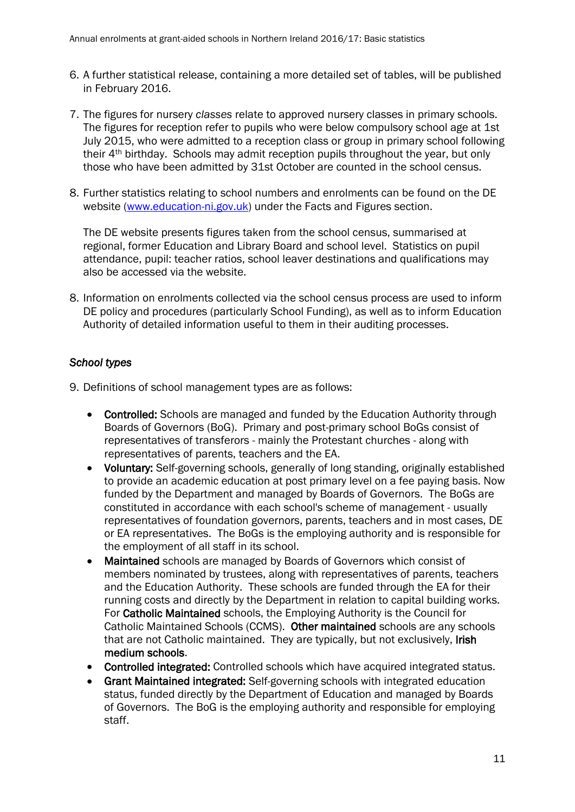- 6. A further statistical release, containing a more detailed set of tables, will be published in February 2016.
- 7. The figures for nursery *classes* relate to approved nursery classes in primary schools. The figures for reception refer to pupils who were below compulsory school age at 1st July 2015, who were admitted to a reception class or group in primary school following their 4th birthday. Schools may admit reception pupils throughout the year, but only those who have been admitted by 31st October are counted in the school census.
- 8. Further statistics relating to school numbers and enrolments can be found on the DE website [\(www.education-ni.gov.uk\)](http://www.education-ni.gov.uk/) under the Facts and Figures section.

The DE website presents figures taken from the school census, summarised at regional, former Education and Library Board and school level. Statistics on pupil attendance, pupil: teacher ratios, school leaver destinations and qualifications may also be accessed via the website.

8. Information on enrolments collected via the school census process are used to inform DE policy and procedures (particularly School Funding), as well as to inform Education Authority of detailed information useful to them in their auditing processes.

## *School types*

- 9. Definitions of school management types are as follows:
	- Controlled: Schools are managed and funded by the Education Authority through Boards of Governors (BoG). Primary and post-primary school BoGs consist of representatives of transferors - mainly the Protestant churches - along with representatives of parents, teachers and the EA.
	- Voluntary: Self-governing schools, generally of long standing, originally established to provide an academic education at post primary level on a fee paying basis. Now funded by the Department and managed by Boards of Governors. The BoGs are constituted in accordance with each school's scheme of management - usually representatives of foundation governors, parents, teachers and in most cases, DE or EA representatives. The BoGs is the employing authority and is responsible for the employment of all staff in its school.
	- Maintained schools are managed by Boards of Governors which consist of members nominated by trustees, along with representatives of parents, teachers and the Education Authority. These schools are funded through the EA for their running costs and directly by the Department in relation to capital building works. For Catholic Maintained schools, the Employing Authority is the Council for Catholic Maintained Schools (CCMS). Other maintained schools are any schools that are not Catholic maintained. They are typically, but not exclusively, Irish medium schools.
	- Controlled integrated: Controlled schools which have acquired integrated status.
	- Grant Maintained integrated: Self-governing schools with integrated education status, funded directly by the Department of Education and managed by Boards of Governors. The BoG is the employing authority and responsible for employing staff.